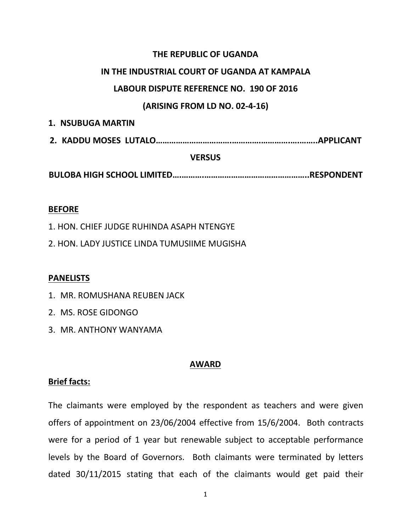# **THE REPUBLIC OF UGANDA**

# **IN THE INDUSTRIAL COURT OF UGANDA AT KAMPALA**

# **LABOUR DISPUTE REFERENCE NO. 190 OF 2016**

# **(ARISING FROM LD NO. 02-4-16)**

| <b>1. NSUBUGA MARTIN</b> |  |
|--------------------------|--|
|                          |  |
| <b>VERSUS</b>            |  |

**BULOBA HIGH SCHOOL LIMITED….……….………………………………………..RESPONDENT**

### **BEFORE**

1. HON. CHIEF JUDGE RUHINDA ASAPH NTENGYE

2. HON. LADY JUSTICE LINDA TUMUSIIME MUGISHA

## **PANELISTS**

1. MR. ROMUSHANA REUBEN JACK

- 2. MS. ROSE GIDONGO
- 3. MR. ANTHONY WANYAMA

## **AWARD**

## **Brief facts:**

The claimants were employed by the respondent as teachers and were given offers of appointment on 23/06/2004 effective from 15/6/2004. Both contracts were for a period of 1 year but renewable subject to acceptable performance levels by the Board of Governors. Both claimants were terminated by letters dated 30/11/2015 stating that each of the claimants would get paid their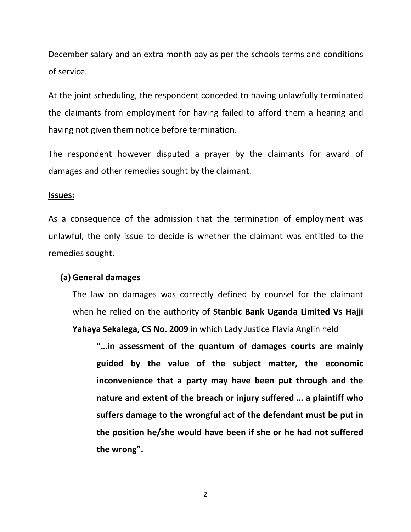December salary and an extra month pay as per the schools terms and conditions of service.

At the joint scheduling, the respondent conceded to having unlawfully terminated the claimants from employment for having failed to afford them a hearing and having not given them notice before termination.

The respondent however disputed a prayer by the claimants for award of damages and other remedies sought by the claimant.

#### **Issues:**

As a consequence of the admission that the termination of employment was unlawful, the only issue to decide is whether the claimant was entitled to the remedies sought.

#### **(a) General damages**

The law on damages was correctly defined by counsel for the claimant when he relied on the authority of **Stanbic Bank Uganda Limited Vs Hajji Yahaya Sekalega, CS No. 2009** in which Lady Justice Flavia Anglin held

**"…in assessment of the quantum of damages courts are mainly guided by the value of the subject matter, the economic inconvenience that a party may have been put through and the nature and extent of the breach or injury suffered … a plaintiff who suffers damage to the wrongful act of the defendant must be put in the position he/she would have been if she or he had not suffered the wrong".**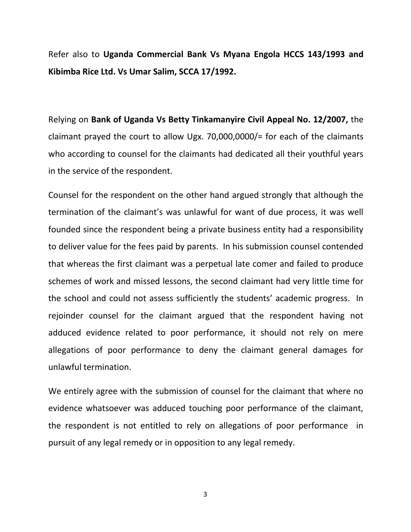Refer also to **Uganda Commercial Bank Vs Myana Engola HCCS 143/1993 and Kibimba Rice Ltd. Vs Umar Salim, SCCA 17/1992.**

Relying on **Bank of Uganda Vs Betty Tinkamanyire Civil Appeal No. 12/2007,** the claimant prayed the court to allow Ugx. 70,000,0000/= for each of the claimants who according to counsel for the claimants had dedicated all their youthful years in the service of the respondent.

Counsel for the respondent on the other hand argued strongly that although the termination of the claimant's was unlawful for want of due process, it was well founded since the respondent being a private business entity had a responsibility to deliver value for the fees paid by parents. In his submission counsel contended that whereas the first claimant was a perpetual late comer and failed to produce schemes of work and missed lessons, the second claimant had very little time for the school and could not assess sufficiently the students' academic progress. In rejoinder counsel for the claimant argued that the respondent having not adduced evidence related to poor performance, it should not rely on mere allegations of poor performance to deny the claimant general damages for unlawful termination.

We entirely agree with the submission of counsel for the claimant that where no evidence whatsoever was adduced touching poor performance of the claimant, the respondent is not entitled to rely on allegations of poor performance in pursuit of any legal remedy or in opposition to any legal remedy.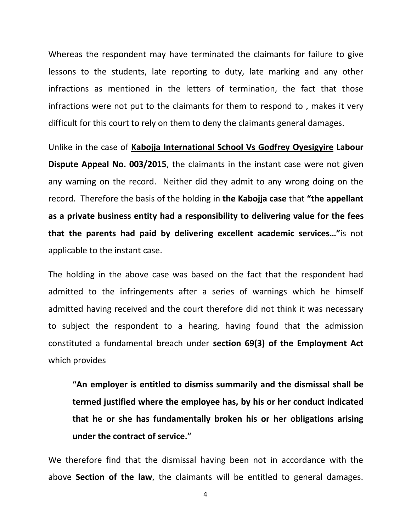Whereas the respondent may have terminated the claimants for failure to give lessons to the students, late reporting to duty, late marking and any other infractions as mentioned in the letters of termination, the fact that those infractions were not put to the claimants for them to respond to , makes it very difficult for this court to rely on them to deny the claimants general damages.

Unlike in the case of **Kabojja International School Vs Godfrey Oyesigyire Labour Dispute Appeal No. 003/2015**, the claimants in the instant case were not given any warning on the record. Neither did they admit to any wrong doing on the record. Therefore the basis of the holding in **the Kabojja case** that **"the appellant as a private business entity had aresponsibility to delivering value for the fees that the parents had paid by delivering excellent academic services…"**is not applicable to the instant case.

The holding in the above case was based on the fact that the respondent had admitted to the infringements after a series of warnings which he himself admitted having received and the court therefore did not think it was necessary to subject the respondent to a hearing, having found that the admission constituted afundamental breach under **section 69(3) of the Employment Act** which provides

**"An employer is entitled to dismiss summarily and the dismissal shall be termed justified where the employee has, by hisor her conduct indicated that he or she has fundamentally broken his or her obligations arising under the contract of service."**

We therefore find that the dismissal having been not in accordance with the above **Section of the law**, the claimants will be entitled to general damages.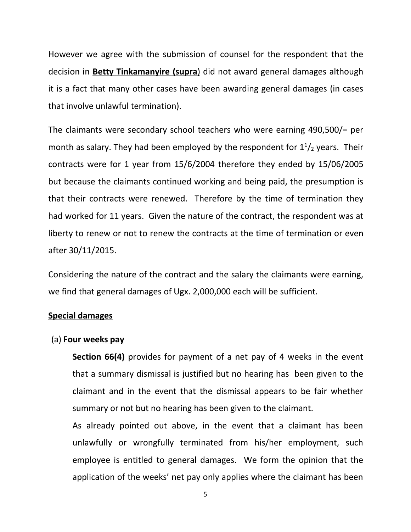However we agree with the submission of counsel for the respondent that the decision in **Betty Tinkamanyire (supra**) did not award general damages although it is a fact that many other cases have been awarding general damages (in cases that involve unlawful termination).

The claimants were secondary school teachers who were earning 490,500/= per month as salary. They had been employed by the respondent for  $1^{1}/_{2}$  years. Their contracts were for 1 year from 15/6/2004 therefore they ended by 15/06/2005 but because the claimants continued working and being paid, the presumption is that their contracts were renewed. Therefore by the time of termination they had worked for 11 years. Given the nature of the contract, the respondent was at liberty to renew or not to renew the contracts at the time of termination or even after 30/11/2015.

Considering the nature of the contract and the salary the claimants were earning, we find that general damages of Ugx. 2,000,000 each will be sufficient.

## **Special damages**

## (a) **Four weeks pay**

**Section 66(4)** provides for payment of a net pay of 4 weeks in the event that a summary dismissal is justified but no hearing has been given to the claimant and in the event that the dismissal appears to be fair whether summary or not but no hearing has been given to the claimant.

As already pointed out above, in the event that a claimant has been unlawfully or wrongfully terminated from his/her employment, such employee is entitled to general damages. We form the opinion that the application of the weeks' net pay only applies where the claimant has been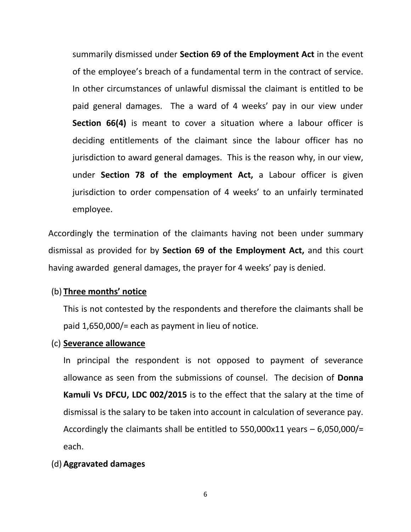summarily dismissed under **Section 69 of the Employment Act** in the event of the employee's breach of a fundamental term in the contract of service. In other circumstances of unlawful dismissal the claimant is entitled to be paid general damages. The a ward of 4 weeks' pay in our view under **Section 66(4)** is meant to cover a situation where a labour officer is deciding entitlements of the claimant since the labour officer has no jurisdiction to award general damages. This is the reason why, in our view, under **Section 78 of the employment Act,** a Labour officer is given jurisdiction to order compensation of 4 weeks' to an unfairly terminated employee.

Accordingly the termination of the claimants having not been under summary dismissal as provided for by **Section 69 of the Employment Act,** and this court having awarded general damages, the prayer for 4 weeks' pay is denied.

## (b) **Three months' notice**

This is not contested by the respondents and therefore the claimants shall be paid 1,650,000/= each as payment in lieu of notice.

#### (c) **Severance allowance**

In principal the respondent is not opposed to payment of severance allowance as seen from the submissions of counsel. The decision of **Donna Kamuli Vs DFCU, LDC 002/2015** is to the effect that the salary at the time of dismissal is the salary to be taken into account in calculation of severance pay. Accordingly the claimants shall be entitled to 550,000x11 years – 6,050,000/= each.

### (d) **Aggravated damages**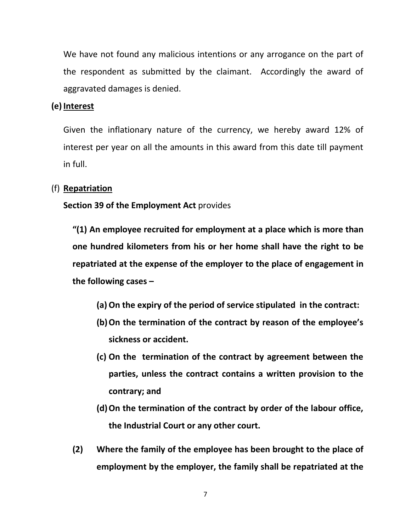We have not found any malicious intentions or any arrogance on the part of the respondent as submitted by the claimant. Accordingly the award of aggravated damages is denied.

### **(e) Interest**

Given the inflationary nature of the currency, we hereby award 12% of interest per year on all the amounts in this award from this date till payment in full.

## (f) **Repatriation**

### **Section 39 of the Employment Act** provides

**"(1) An employee recruited for employment at a place which is more than one hundred kilometers from his or her home shall have the right to be repatriated at the expense of the employer to the place ofengagement in the following cases –**

- **(a)On the expiry of the period of service stipulated in the contract:**
- **(b)On the termination of the contract by reason of the employee's sickness or accident.**
- **(c) On the termination of the contract by agreement between the parties, unless the contract contains a written provision to the contrary; and**
- **(d)On the termination of the contract by order of the labour office, the Industrial Court or any other court.**
- **(2) Where the family of the employee has been brought to the place of employment by the employer, the family shall be repatriated at the**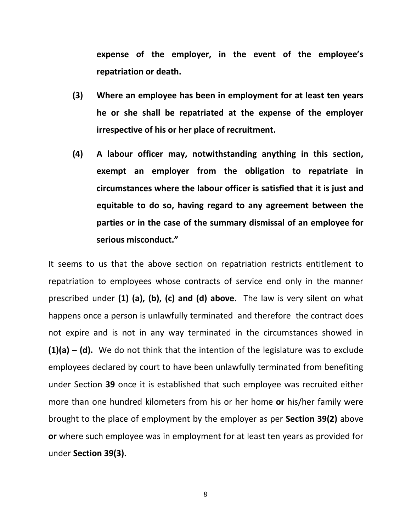**expense of the employer, in the event of the employee's repatriation or death.**

- **(3) Where an employee has been in employment for at least ten years he or she shall be repatriated at the expense of the employer irrespective of his or her place of recruitment.**
- **(4) A labour officer may, notwithstanding anything in this section, exempt an employer from the obligation to repatriate in circumstances where the labour officer is satisfied that it is just and equitable to do so, having regard to any agreement between the parties or in the case of the summary dismissal of an employee for serious misconduct."**

It seems to us that the above section on repatriation restricts entitlement to repatriation to employees whose contracts of service end only in the manner prescribed under **(1) (a), (b), (c) and (d) above.** The law is very silent on what happens once a person is unlawfully terminated and therefore the contract does not expire and is not in any way terminated in the circumstances showed in **(1)(a) – (d).** We do not think that the intention of the legislature was to exclude employees declared by court to have been unlawfully terminated from benefiting under Section **39** once it is established that such employee was recruited either more than one hundred kilometers from his or her home **or** his/her family were brought to the place of employment by the employer as per **Section 39(2)** above **or** where such employee was in employment for at least ten years as provided for under **Section 39(3).**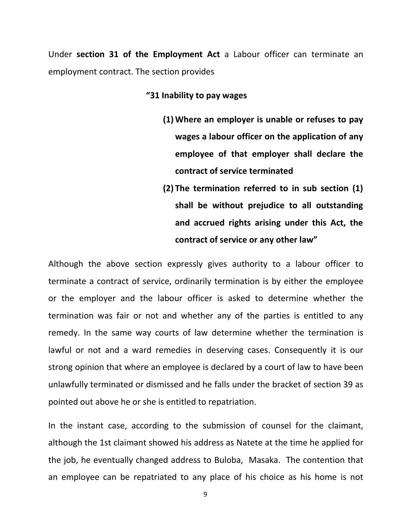Under **section 31 of the Employment Act** a Labour officer can terminate an employment contract. The section provides

#### **"31 Inability to pay wages**

- **(1) Where an employer is unable or refuses to pay wages a labour officer on the application of any employee of that employer shall declare the contract of service terminated**
- **(2) The termination referred to in sub section (1) shall be without prejudice to all outstanding and accrued rights arising under this Act, the contract of service or any other law"**

Although the above section expressly gives authority to a labour officer to terminate a contract of service, ordinarily termination is by either the employee or the employer and the labour officer is asked to determine whether the termination was fair or not and whether any of the parties is entitled to any remedy. In the same way courts of law determine whether the termination is lawful or not and a ward remedies in deserving cases. Consequently it is our strong opinion that where an employee is declared by a court of law to have been unlawfully terminated or dismissed and he falls under the bracket of section 39 as pointed out above he or she is entitled to repatriation.

In the instant case, according to the submission of counsel for the claimant, although the 1st claimant showed his address as Natete at the time he applied for the job, he eventually changed address to Buloba, Masaka. The contention that an employee can be repatriated to any place of his choice as his home is not

<sup>9</sup>